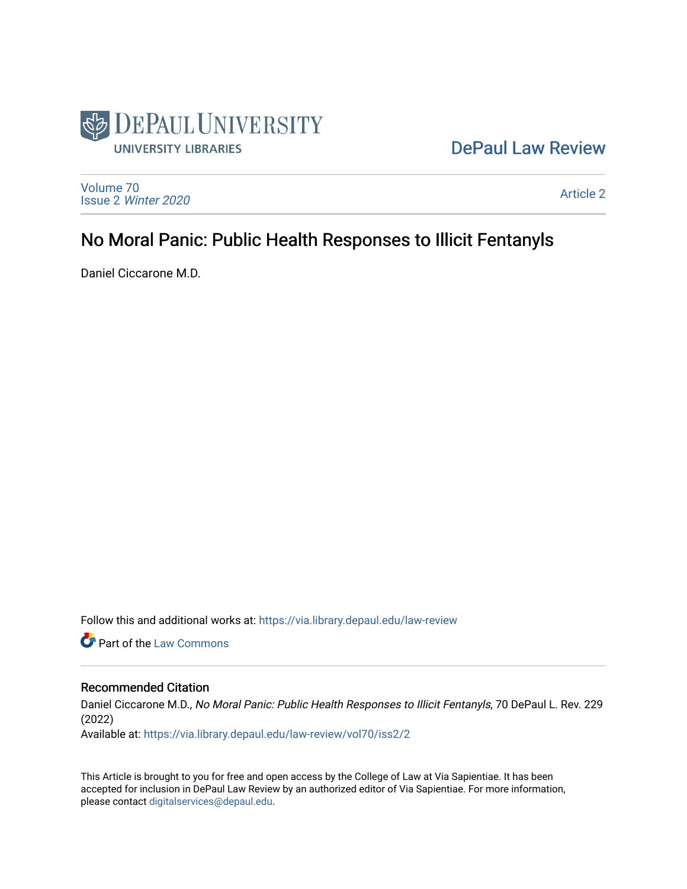

# [DePaul Law Review](https://via.library.depaul.edu/law-review)

[Volume 70](https://via.library.depaul.edu/law-review/vol70) Issue 2 [Winter 2020](https://via.library.depaul.edu/law-review/vol70/iss2) 

[Article 2](https://via.library.depaul.edu/law-review/vol70/iss2/2) 

# No Moral Panic: Public Health Responses to Illicit Fentanyls

Daniel Ciccarone M.D.

Follow this and additional works at: [https://via.library.depaul.edu/law-review](https://via.library.depaul.edu/law-review?utm_source=via.library.depaul.edu%2Flaw-review%2Fvol70%2Fiss2%2F2&utm_medium=PDF&utm_campaign=PDFCoverPages) 

**C** Part of the [Law Commons](http://network.bepress.com/hgg/discipline/578?utm_source=via.library.depaul.edu%2Flaw-review%2Fvol70%2Fiss2%2F2&utm_medium=PDF&utm_campaign=PDFCoverPages)

# Recommended Citation

Daniel Ciccarone M.D., No Moral Panic: Public Health Responses to Illicit Fentanyls, 70 DePaul L. Rev. 229 (2022)

Available at: [https://via.library.depaul.edu/law-review/vol70/iss2/2](https://via.library.depaul.edu/law-review/vol70/iss2/2?utm_source=via.library.depaul.edu%2Flaw-review%2Fvol70%2Fiss2%2F2&utm_medium=PDF&utm_campaign=PDFCoverPages) 

This Article is brought to you for free and open access by the College of Law at Via Sapientiae. It has been accepted for inclusion in DePaul Law Review by an authorized editor of Via Sapientiae. For more information, please contact [digitalservices@depaul.edu.](mailto:digitalservices@depaul.edu)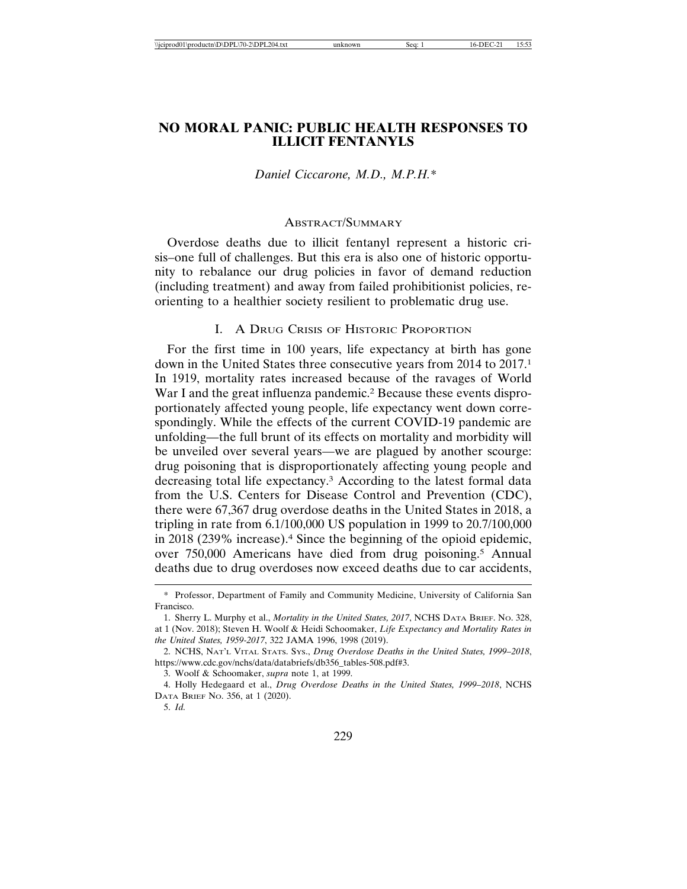## **NO MORAL PANIC: PUBLIC HEALTH RESPONSES TO ILLICIT FENTANYLS**

#### *Daniel Ciccarone, M.D., M.P.H.\**

#### ABSTRACT/SUMMARY

Overdose deaths due to illicit fentanyl represent a historic crisis–one full of challenges. But this era is also one of historic opportunity to rebalance our drug policies in favor of demand reduction (including treatment) and away from failed prohibitionist policies, reorienting to a healthier society resilient to problematic drug use.

#### I. A DRUG CRISIS OF HISTORIC PROPORTION

For the first time in 100 years, life expectancy at birth has gone down in the United States three consecutive years from 2014 to 2017.<sup>1</sup> In 1919, mortality rates increased because of the ravages of World War I and the great influenza pandemic.<sup>2</sup> Because these events disproportionately affected young people, life expectancy went down correspondingly. While the effects of the current COVID-19 pandemic are unfolding—the full brunt of its effects on mortality and morbidity will be unveiled over several years—we are plagued by another scourge: drug poisoning that is disproportionately affecting young people and decreasing total life expectancy.3 According to the latest formal data from the U.S. Centers for Disease Control and Prevention (CDC), there were 67,367 drug overdose deaths in the United States in 2018, a tripling in rate from 6.1/100,000 US population in 1999 to 20.7/100,000 in 2018 (239% increase).4 Since the beginning of the opioid epidemic, over 750,000 Americans have died from drug poisoning.5 Annual deaths due to drug overdoses now exceed deaths due to car accidents,

<sup>\*</sup> Professor, Department of Family and Community Medicine, University of California San Francisco.

<sup>1.</sup> Sherry L. Murphy et al., *Mortality in the United States, 2017*, NCHS DATA BRIEF. NO. 328, at 1 (Nov. 2018); Steven H. Woolf & Heidi Schoomaker, *Life Expectancy and Mortality Rates in the United States, 1959-2017*, 322 JAMA 1996, 1998 (2019).

<sup>2.</sup> NCHS, NAT'L VITAL STATS. SYS., *Drug Overdose Deaths in the United States, 1999–2018*, https://www.cdc.gov/nchs/data/databriefs/db356\_tables-508.pdf#3.

<sup>3.</sup> Woolf & Schoomaker, *supra* note 1, at 1999.

<sup>4.</sup> Holly Hedegaard et al., *Drug Overdose Deaths in the United States, 1999–2018*, NCHS DATA BRIEF NO. 356, at 1 (2020).

<sup>5.</sup> *Id.*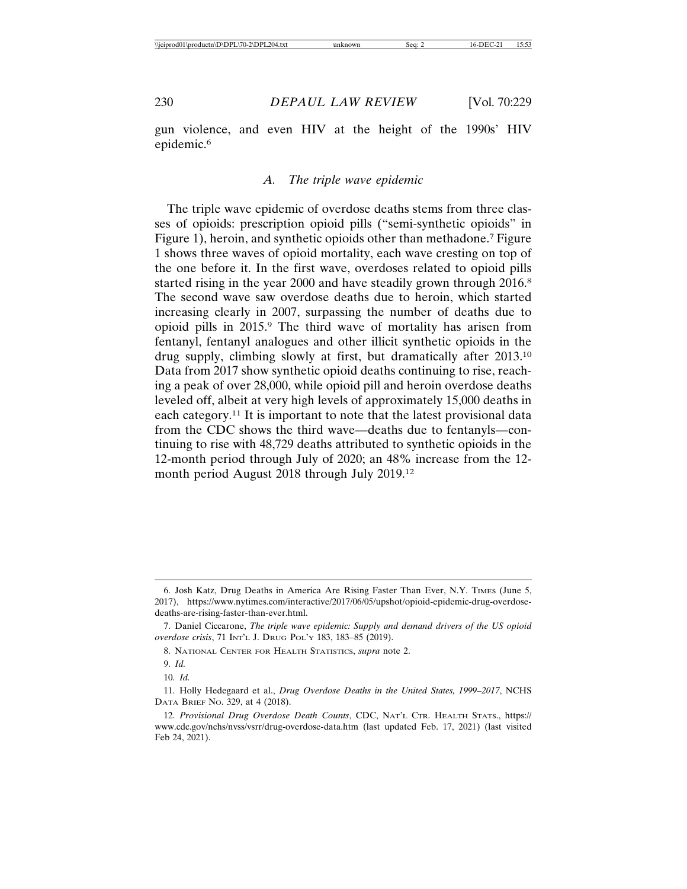gun violence, and even HIV at the height of the 1990s' HIV epidemic.<sup>6</sup>

#### *A. The triple wave epidemic*

The triple wave epidemic of overdose deaths stems from three classes of opioids: prescription opioid pills ("semi-synthetic opioids" in Figure 1), heroin, and synthetic opioids other than methadone.<sup>7</sup> Figure 1 shows three waves of opioid mortality, each wave cresting on top of the one before it. In the first wave, overdoses related to opioid pills started rising in the year 2000 and have steadily grown through 2016.<sup>8</sup> The second wave saw overdose deaths due to heroin, which started increasing clearly in 2007, surpassing the number of deaths due to opioid pills in 2015.9 The third wave of mortality has arisen from fentanyl, fentanyl analogues and other illicit synthetic opioids in the drug supply, climbing slowly at first, but dramatically after 2013.10 Data from 2017 show synthetic opioid deaths continuing to rise, reaching a peak of over 28,000, while opioid pill and heroin overdose deaths leveled off, albeit at very high levels of approximately 15,000 deaths in each category.11 It is important to note that the latest provisional data from the CDC shows the third wave—deaths due to fentanyls—continuing to rise with 48,729 deaths attributed to synthetic opioids in the 12-month period through July of 2020; an 48% increase from the 12 month period August 2018 through July 2019.12

<sup>6.</sup> Josh Katz, Drug Deaths in America Are Rising Faster Than Ever, N.Y. TIMES (June 5, 2017), https://www.nytimes.com/interactive/2017/06/05/upshot/opioid-epidemic-drug-overdosedeaths-are-rising-faster-than-ever.html.

<sup>7.</sup> Daniel Ciccarone, *The triple wave epidemic: Supply and demand drivers of the US opioid overdose crisis*, 71 INT'L J. DRUG POL'Y 183, 183–85 (2019).

<sup>8.</sup> NATIONAL CENTER FOR HEALTH STATISTICS, *supra* note 2.

<sup>9.</sup> *Id.*

<sup>10.</sup> *Id.*

<sup>11.</sup> Holly Hedegaard et al., *Drug Overdose Deaths in the United States, 1999–2017*, NCHS DATA BRIEF NO. 329, at 4 (2018).

<sup>12.</sup> *Provisional Drug Overdose Death Counts*, CDC, NAT'L CTR. HEALTH STATS., https:// www.cdc.gov/nchs/nvss/vsrr/drug-overdose-data.htm (last updated Feb. 17, 2021) (last visited Feb 24, 2021).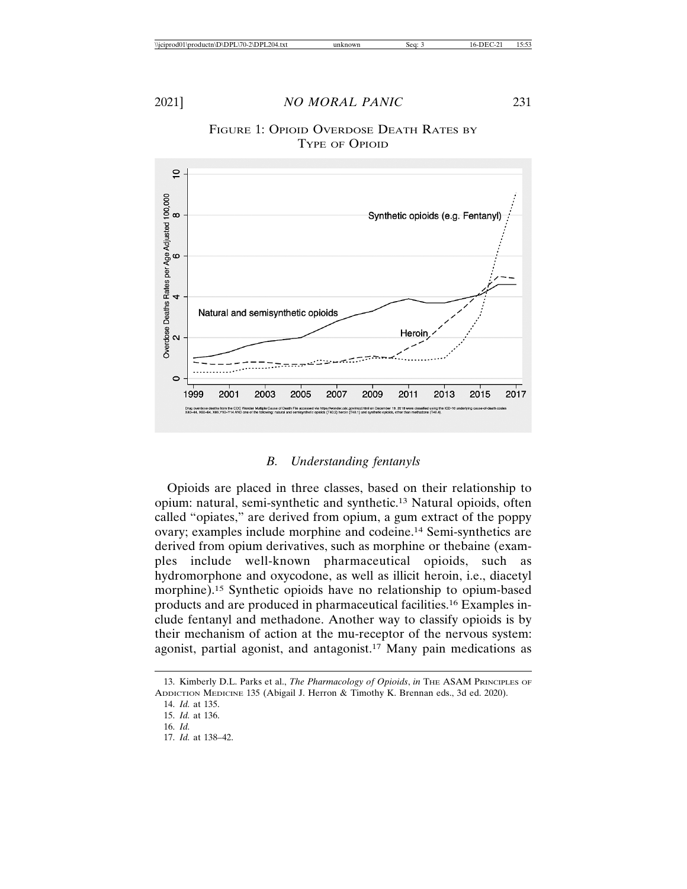

#### *B. Understanding fentanyls*

Opioids are placed in three classes, based on their relationship to opium: natural, semi-synthetic and synthetic.13 Natural opioids, often called "opiates," are derived from opium, a gum extract of the poppy ovary; examples include morphine and codeine.14 Semi-synthetics are derived from opium derivatives, such as morphine or thebaine (examples include well-known pharmaceutical opioids, such as hydromorphone and oxycodone, as well as illicit heroin, i.e., diacetyl morphine).15 Synthetic opioids have no relationship to opium-based products and are produced in pharmaceutical facilities.16 Examples include fentanyl and methadone. Another way to classify opioids is by their mechanism of action at the mu-receptor of the nervous system: agonist, partial agonist, and antagonist.17 Many pain medications as

17. *Id.* at 138–42.

<sup>13.</sup> Kimberly D.L. Parks et al., *The Pharmacology of Opioids*, *in* THE ASAM PRINCIPLES OF ADDICTION MEDICINE 135 (Abigail J. Herron & Timothy K. Brennan eds., 3d ed. 2020).

<sup>14.</sup> *Id.* at 135.

<sup>15.</sup> *Id.* at 136.

<sup>16.</sup> *Id.*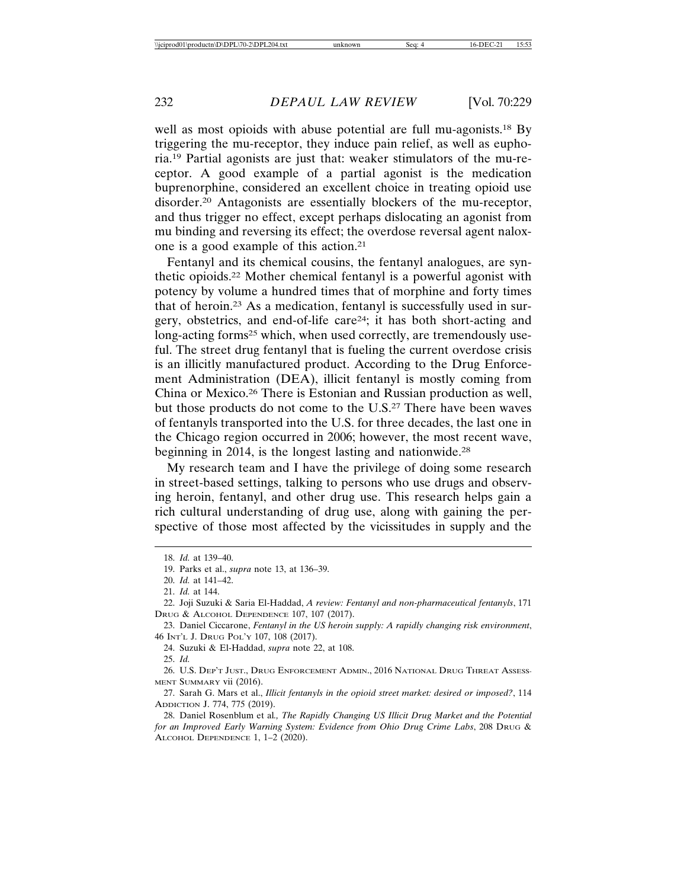well as most opioids with abuse potential are full mu-agonists.<sup>18</sup> By triggering the mu-receptor, they induce pain relief, as well as euphoria.19 Partial agonists are just that: weaker stimulators of the mu-receptor. A good example of a partial agonist is the medication buprenorphine, considered an excellent choice in treating opioid use disorder.20 Antagonists are essentially blockers of the mu-receptor, and thus trigger no effect, except perhaps dislocating an agonist from mu binding and reversing its effect; the overdose reversal agent naloxone is a good example of this action.21

Fentanyl and its chemical cousins, the fentanyl analogues, are synthetic opioids.22 Mother chemical fentanyl is a powerful agonist with potency by volume a hundred times that of morphine and forty times that of heroin.23 As a medication, fentanyl is successfully used in surgery, obstetrics, and end-of-life care24; it has both short-acting and long-acting forms<sup>25</sup> which, when used correctly, are tremendously useful. The street drug fentanyl that is fueling the current overdose crisis is an illicitly manufactured product. According to the Drug Enforcement Administration (DEA), illicit fentanyl is mostly coming from China or Mexico.26 There is Estonian and Russian production as well, but those products do not come to the U.S.27 There have been waves of fentanyls transported into the U.S. for three decades, the last one in the Chicago region occurred in 2006; however, the most recent wave, beginning in 2014, is the longest lasting and nationwide.<sup>28</sup>

My research team and I have the privilege of doing some research in street-based settings, talking to persons who use drugs and observing heroin, fentanyl, and other drug use. This research helps gain a rich cultural understanding of drug use, along with gaining the perspective of those most affected by the vicissitudes in supply and the

25. *Id.*

26. U.S. DEP'T JUST., DRUG ENFORCEMENT ADMIN., 2016 NATIONAL DRUG THREAT ASSESS-MENT SUMMARY vii (2016).

27. Sarah G. Mars et al., *Illicit fentanyls in the opioid street market: desired or imposed?*, 114 ADDICTION J. 774, 775 (2019).

28. Daniel Rosenblum et al*., The Rapidly Changing US Illicit Drug Market and the Potential for an Improved Early Warning System: Evidence from Ohio Drug Crime Labs*, 208 DRUG & ALCOHOL DEPENDENCE 1, 1–2 (2020).

<sup>18.</sup> *Id.* at 139–40.

<sup>19.</sup> Parks et al., *supra* note 13, at 136–39.

<sup>20.</sup> *Id.* at 141–42.

<sup>21.</sup> *Id.* at 144.

<sup>22.</sup> Joji Suzuki & Saria El-Haddad, *A review: Fentanyl and non-pharmaceutical fentanyls*, 171 DRUG & ALCOHOL DEPENDENCE 107, 107 (2017).

<sup>23.</sup> Daniel Ciccarone, *Fentanyl in the US heroin supply: A rapidly changing risk environment*, 46 INT'L J. DRUG POL'Y 107, 108 (2017).

<sup>24.</sup> Suzuki & El-Haddad, *supra* note 22, at 108.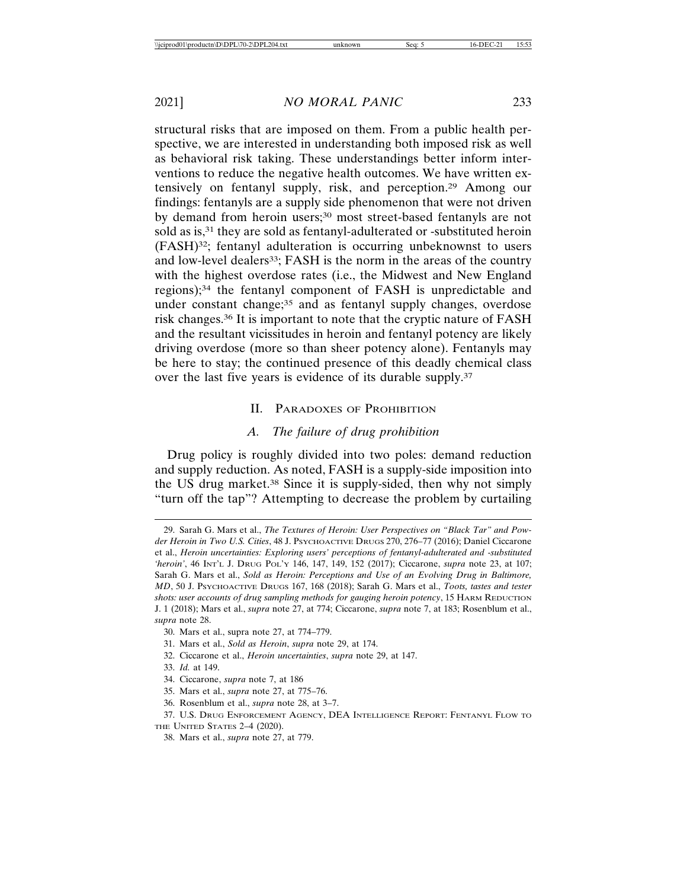structural risks that are imposed on them. From a public health perspective, we are interested in understanding both imposed risk as well as behavioral risk taking. These understandings better inform interventions to reduce the negative health outcomes. We have written extensively on fentanyl supply, risk, and perception.29 Among our findings: fentanyls are a supply side phenomenon that were not driven by demand from heroin users;<sup>30</sup> most street-based fentanyls are not sold as is,<sup>31</sup> they are sold as fentanyl-adulterated or -substituted heroin (FASH)32; fentanyl adulteration is occurring unbeknownst to users and low-level dealers<sup>33</sup>; FASH is the norm in the areas of the country with the highest overdose rates (i.e., the Midwest and New England regions);34 the fentanyl component of FASH is unpredictable and under constant change;<sup>35</sup> and as fentanyl supply changes, overdose risk changes.36 It is important to note that the cryptic nature of FASH and the resultant vicissitudes in heroin and fentanyl potency are likely driving overdose (more so than sheer potency alone). Fentanyls may be here to stay; the continued presence of this deadly chemical class over the last five years is evidence of its durable supply.37

#### II. PARADOXES OF PROHIBITION

#### *A. The failure of drug prohibition*

Drug policy is roughly divided into two poles: demand reduction and supply reduction. As noted, FASH is a supply-side imposition into the US drug market.38 Since it is supply-sided, then why not simply "turn off the tap"? Attempting to decrease the problem by curtailing

- 32. Ciccarone et al., *Heroin uncertainties*, *supra* note 29, at 147.
- 33. *Id.* at 149.
- 34. Ciccarone, *supra* note 7, at 186
- 35. Mars et al., *supra* note 27, at 775–76.
- 36. Rosenblum et al., *supra* note 28, at 3–7.

<sup>29.</sup> Sarah G. Mars et al., *The Textures of Heroin: User Perspectives on "Black Tar" and Powder Heroin in Two U.S. Cities*, 48 J. PSYCHOACTIVE DRUGS 270, 276–77 (2016); Daniel Ciccarone et al., *Heroin uncertainties: Exploring users' perceptions of fentanyl-adulterated and -substituted 'heroin'*, 46 INT'L J. DRUG POL'Y 146, 147, 149, 152 (2017); Ciccarone, *supra* note 23, at 107; Sarah G. Mars et al., *Sold as Heroin: Perceptions and Use of an Evolving Drug in Baltimore, MD*, 50 J. PSYCHOACTIVE DRUGS 167, 168 (2018); Sarah G. Mars et al., *Toots, tastes and tester shots: user accounts of drug sampling methods for gauging heroin potency*, 15 HARM REDUCTION J. 1 (2018); Mars et al., *supra* note 27, at 774; Ciccarone, *supra* note 7, at 183; Rosenblum et al., *supra* note 28.

<sup>30.</sup> Mars et al., supra note 27, at 774–779.

<sup>31.</sup> Mars et al., *Sold as Heroin*, *supra* note 29, at 174.

<sup>37.</sup> U.S. DRUG ENFORCEMENT AGENCY, DEA INTELLIGENCE REPORT: FENTANYL FLOW TO THE UNITED STATES 2–4 (2020).

<sup>38.</sup> Mars et al., *supra* note 27, at 779.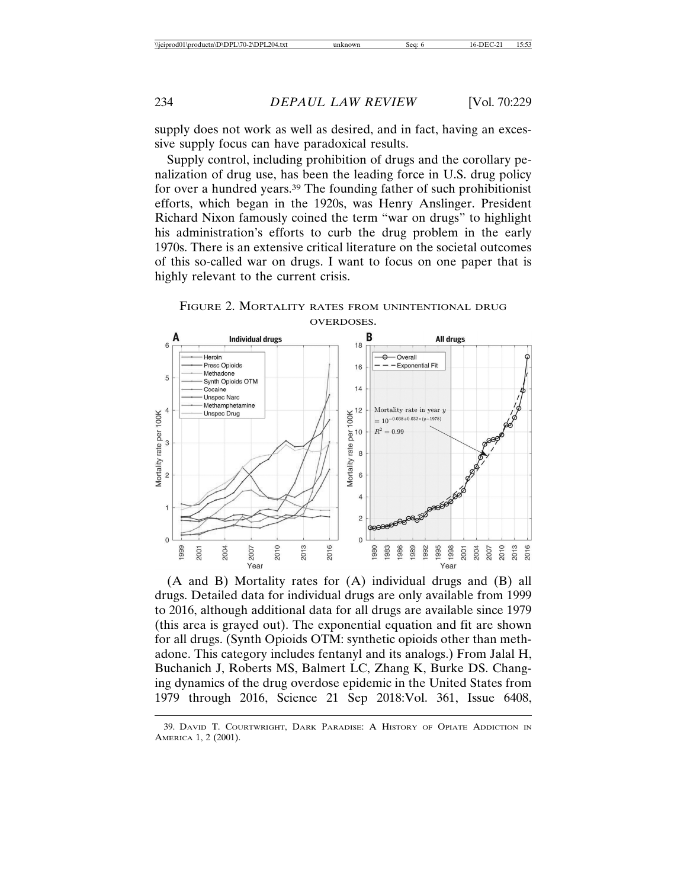supply does not work as well as desired, and in fact, having an excessive supply focus can have paradoxical results.

Supply control, including prohibition of drugs and the corollary penalization of drug use, has been the leading force in U.S. drug policy for over a hundred years.39 The founding father of such prohibitionist efforts, which began in the 1920s, was Henry Anslinger. President Richard Nixon famously coined the term "war on drugs" to highlight his administration's efforts to curb the drug problem in the early 1970s. There is an extensive critical literature on the societal outcomes of this so-called war on drugs. I want to focus on one paper that is highly relevant to the current crisis.



FIGURE 2. MORTALITY RATES FROM UNINTENTIONAL DRUG OVERDOSES.

(A and B) Mortality rates for (A) individual drugs and (B) all drugs. Detailed data for individual drugs are only available from 1999 to 2016, although additional data for all drugs are available since 1979 (this area is grayed out). The exponential equation and fit are shown for all drugs. (Synth Opioids OTM: synthetic opioids other than methadone. This category includes fentanyl and its analogs.) From Jalal H, Buchanich J, Roberts MS, Balmert LC, Zhang K, Burke DS. Changing dynamics of the drug overdose epidemic in the United States from 1979 through 2016, Science 21 Sep 2018:Vol. 361, Issue 6408,

<sup>39.</sup> DAVID T. COURTWRIGHT, DARK PARADISE: A HISTORY OF OPIATE ADDICTION IN AMERICA 1, 2 (2001).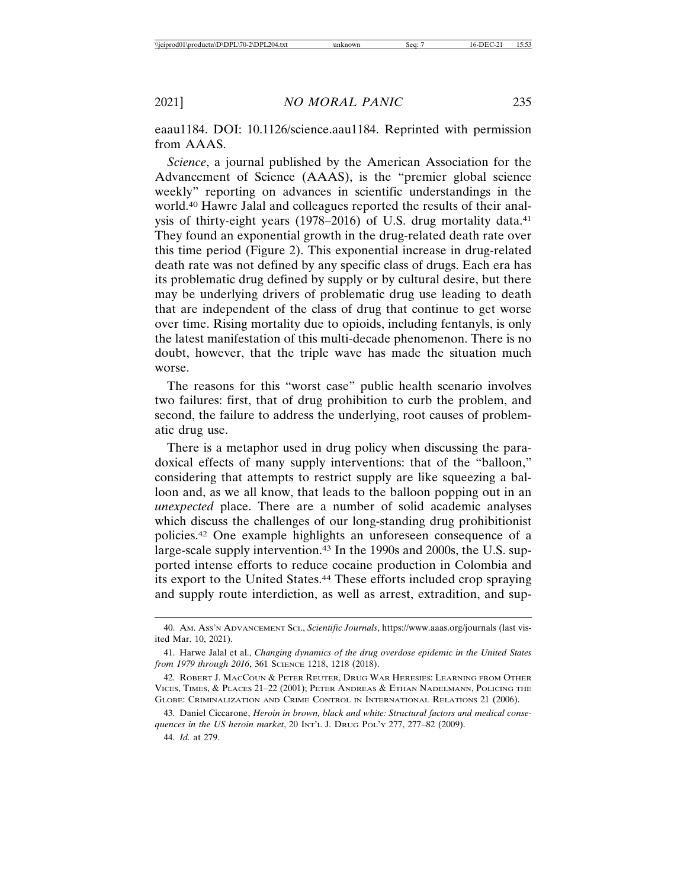eaau1184. DOI: 10.1126/science.aau1184. Reprinted with permission from AAAS.

*Science*, a journal published by the American Association for the Advancement of Science (AAAS), is the "premier global science weekly" reporting on advances in scientific understandings in the world.40 Hawre Jalal and colleagues reported the results of their analysis of thirty-eight years (1978–2016) of U.S. drug mortality data.<sup>41</sup> They found an exponential growth in the drug-related death rate over this time period (Figure 2). This exponential increase in drug-related death rate was not defined by any specific class of drugs. Each era has its problematic drug defined by supply or by cultural desire, but there may be underlying drivers of problematic drug use leading to death that are independent of the class of drug that continue to get worse over time. Rising mortality due to opioids, including fentanyls, is only the latest manifestation of this multi-decade phenomenon. There is no doubt, however, that the triple wave has made the situation much worse.

The reasons for this "worst case" public health scenario involves two failures: first, that of drug prohibition to curb the problem, and second, the failure to address the underlying, root causes of problematic drug use.

There is a metaphor used in drug policy when discussing the paradoxical effects of many supply interventions: that of the "balloon," considering that attempts to restrict supply are like squeezing a balloon and, as we all know, that leads to the balloon popping out in an *unexpected* place. There are a number of solid academic analyses which discuss the challenges of our long-standing drug prohibitionist policies.42 One example highlights an unforeseen consequence of a large-scale supply intervention.43 In the 1990s and 2000s, the U.S. supported intense efforts to reduce cocaine production in Colombia and its export to the United States.44 These efforts included crop spraying and supply route interdiction, as well as arrest, extradition, and sup-

44. *Id.* at 279.

<sup>40.</sup> AM. ASS'N ADVANCEMENT SCI., *Scientific Journals*, https://www.aaas.org/journals (last visited Mar. 10, 2021).

<sup>41.</sup> Harwe Jalal et al., *Changing dynamics of the drug overdose epidemic in the United States from 1979 through 2016*, 361 SCIENCE 1218, 1218 (2018).

<sup>42.</sup> ROBERT J. MACCOUN & PETER REUTER, DRUG WAR HERESIES: LEARNING FROM OTHER VICES, TIMES, & PLACES 21–22 (2001); PETER ANDREAS & ETHAN NADELMANN, POLICING THE GLOBE: CRIMINALIZATION AND CRIME CONTROL IN INTERNATIONAL RELATIONS 21 (2006).

<sup>43.</sup> Daniel Ciccarone, *Heroin in brown, black and white: Structural factors and medical consequences in the US heroin market*, 20 INT'L J. DRUG POL'Y 277, 277–82 (2009).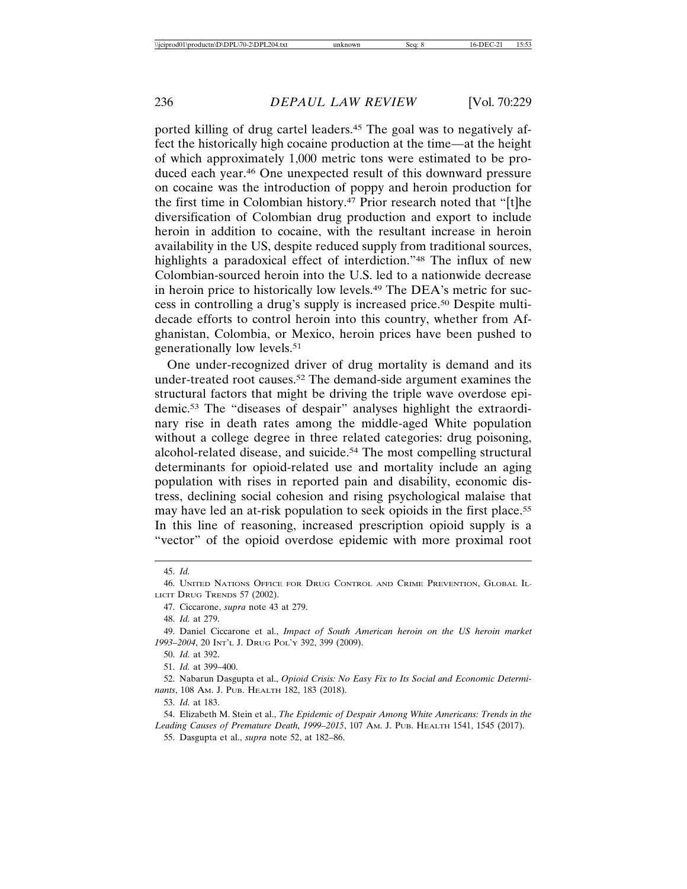ported killing of drug cartel leaders.45 The goal was to negatively affect the historically high cocaine production at the time—at the height of which approximately 1,000 metric tons were estimated to be produced each year.46 One unexpected result of this downward pressure on cocaine was the introduction of poppy and heroin production for the first time in Colombian history.47 Prior research noted that "[t]he diversification of Colombian drug production and export to include heroin in addition to cocaine, with the resultant increase in heroin availability in the US, despite reduced supply from traditional sources, highlights a paradoxical effect of interdiction."<sup>48</sup> The influx of new Colombian-sourced heroin into the U.S. led to a nationwide decrease in heroin price to historically low levels.49 The DEA's metric for success in controlling a drug's supply is increased price.50 Despite multidecade efforts to control heroin into this country, whether from Afghanistan, Colombia, or Mexico, heroin prices have been pushed to generationally low levels.51

One under-recognized driver of drug mortality is demand and its under-treated root causes.52 The demand-side argument examines the structural factors that might be driving the triple wave overdose epidemic.53 The "diseases of despair" analyses highlight the extraordinary rise in death rates among the middle-aged White population without a college degree in three related categories: drug poisoning, alcohol-related disease, and suicide.<sup>54</sup> The most compelling structural determinants for opioid-related use and mortality include an aging population with rises in reported pain and disability, economic distress, declining social cohesion and rising psychological malaise that may have led an at-risk population to seek opioids in the first place.55 In this line of reasoning, increased prescription opioid supply is a "vector" of the opioid overdose epidemic with more proximal root

54. Elizabeth M. Stein et al., *The Epidemic of Despair Among White Americans: Trends in the Leading Causes of Premature Death, 1999–2015*, 107 AM. J. PUB. HEALTH 1541, 1545 (2017).

55. Dasgupta et al., *supra* note 52, at 182–86.

<sup>45.</sup> *Id.*

<sup>46.</sup> UNITED NATIONS OFFICE FOR DRUG CONTROL AND CRIME PREVENTION, GLOBAL IL-LICIT DRUG TRENDS 57 (2002).

<sup>47.</sup> Ciccarone, *supra* note 43 at 279.

<sup>48.</sup> *Id.* at 279.

<sup>49.</sup> Daniel Ciccarone et al., *Impact of South American heroin on the US heroin market 1993–2004*, 20 INT'L J. DRUG POL'Y 392, 399 (2009).

<sup>50.</sup> *Id.* at 392.

<sup>51.</sup> *Id.* at 399–400.

<sup>52.</sup> Nabarun Dasgupta et al., *Opioid Crisis: No Easy Fix to Its Social and Economic Determinants*, 108 AM. J. PUB. HEALTH 182, 183 (2018).

<sup>53.</sup> *Id.* at 183.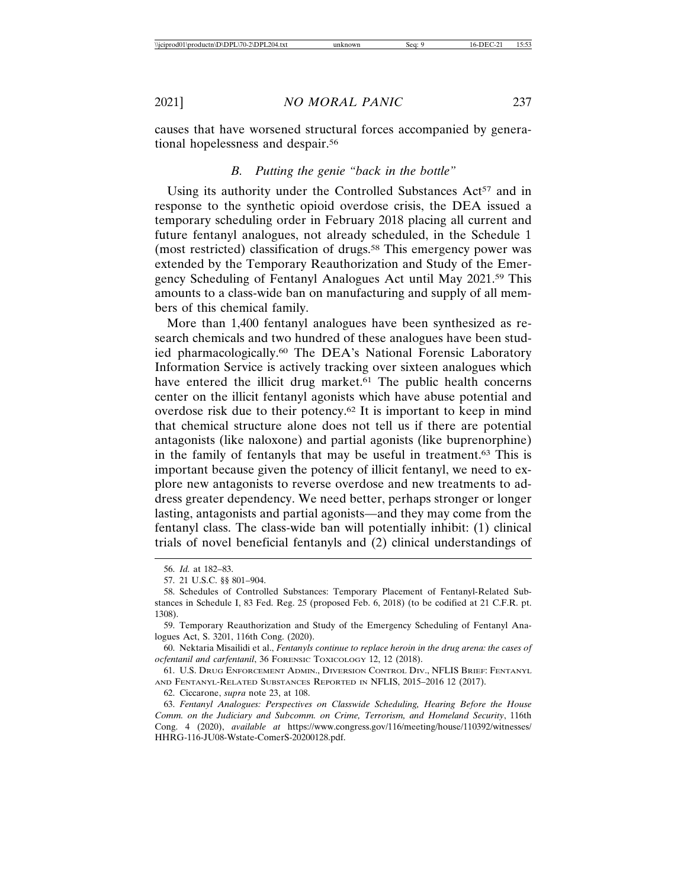causes that have worsened structural forces accompanied by generational hopelessness and despair.56

#### *B. Putting the genie "back in the bottle"*

Using its authority under the Controlled Substances Act<sup>57</sup> and in response to the synthetic opioid overdose crisis, the DEA issued a temporary scheduling order in February 2018 placing all current and future fentanyl analogues, not already scheduled, in the Schedule 1 (most restricted) classification of drugs.58 This emergency power was extended by the Temporary Reauthorization and Study of the Emergency Scheduling of Fentanyl Analogues Act until May 2021.59 This amounts to a class-wide ban on manufacturing and supply of all members of this chemical family.

More than 1,400 fentanyl analogues have been synthesized as research chemicals and two hundred of these analogues have been studied pharmacologically.60 The DEA's National Forensic Laboratory Information Service is actively tracking over sixteen analogues which have entered the illicit drug market.<sup>61</sup> The public health concerns center on the illicit fentanyl agonists which have abuse potential and overdose risk due to their potency.62 It is important to keep in mind that chemical structure alone does not tell us if there are potential antagonists (like naloxone) and partial agonists (like buprenorphine) in the family of fentanyls that may be useful in treatment.63 This is important because given the potency of illicit fentanyl, we need to explore new antagonists to reverse overdose and new treatments to address greater dependency. We need better, perhaps stronger or longer lasting, antagonists and partial agonists—and they may come from the fentanyl class. The class-wide ban will potentially inhibit: (1) clinical trials of novel beneficial fentanyls and (2) clinical understandings of

<sup>56.</sup> *Id.* at 182–83.

<sup>57. 21</sup> U.S.C. §§ 801–904.

<sup>58.</sup> Schedules of Controlled Substances: Temporary Placement of Fentanyl-Related Substances in Schedule I, 83 Fed. Reg. 25 (proposed Feb. 6, 2018) (to be codified at 21 C.F.R. pt. 1308).

<sup>59.</sup> Temporary Reauthorization and Study of the Emergency Scheduling of Fentanyl Analogues Act, S. 3201, 116th Cong. (2020).

<sup>60.</sup> Nektaria Misailidi et al., *Fentanyls continue to replace heroin in the drug arena: the cases of ocfentanil and carfentanil*, 36 FORENSIC TOXICOLOGY 12, 12 (2018).

<sup>61.</sup> U.S. DRUG ENFORCEMENT ADMIN., DIVERSION CONTROL DIV., NFLIS BRIEF: FENTANYL AND FENTANYL-RELATED SUBSTANCES REPORTED IN NFLIS, 2015–2016 12 (2017).

<sup>62.</sup> Ciccarone, *supra* note 23, at 108.

<sup>63.</sup> *Fentanyl Analogues: Perspectives on Classwide Scheduling, Hearing Before the House Comm. on the Judiciary and Subcomm. on Crime, Terrorism, and Homeland Security*, 116th Cong. 4 (2020), *available at* https://www.congress.gov/116/meeting/house/110392/witnesses/ HHRG-116-JU08-Wstate-ComerS-20200128.pdf.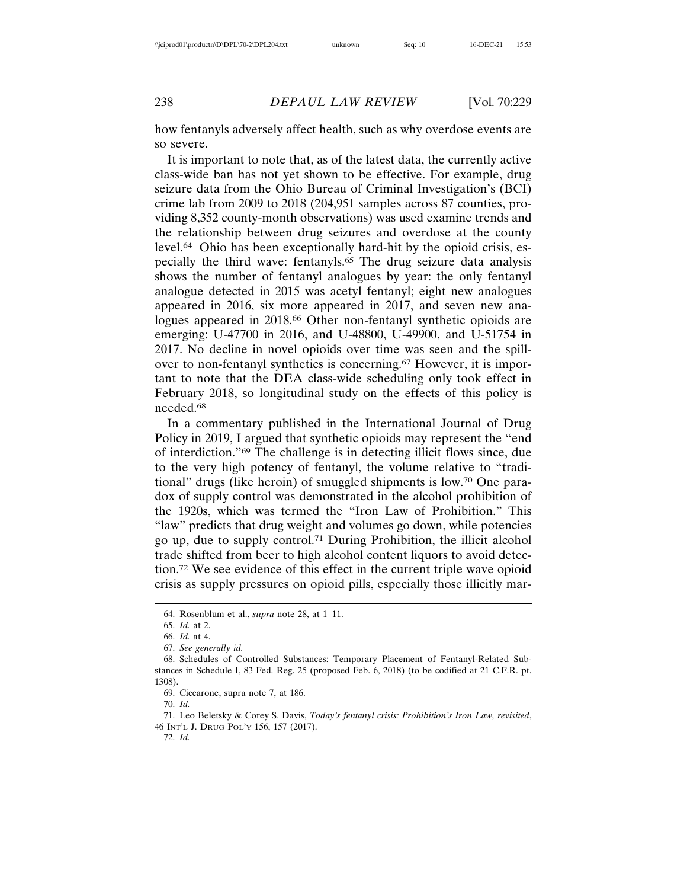how fentanyls adversely affect health, such as why overdose events are so severe.

It is important to note that, as of the latest data, the currently active class-wide ban has not yet shown to be effective. For example, drug seizure data from the Ohio Bureau of Criminal Investigation's (BCI) crime lab from 2009 to 2018 (204,951 samples across 87 counties, providing 8,352 county-month observations) was used examine trends and the relationship between drug seizures and overdose at the county level.64 Ohio has been exceptionally hard-hit by the opioid crisis, especially the third wave: fentanyls.65 The drug seizure data analysis shows the number of fentanyl analogues by year: the only fentanyl analogue detected in 2015 was acetyl fentanyl; eight new analogues appeared in 2016, six more appeared in 2017, and seven new analogues appeared in 2018.<sup>66</sup> Other non-fentanyl synthetic opioids are emerging: U-47700 in 2016, and U-48800, U-49900, and U-51754 in 2017. No decline in novel opioids over time was seen and the spillover to non-fentanyl synthetics is concerning.67 However, it is important to note that the DEA class-wide scheduling only took effect in February 2018, so longitudinal study on the effects of this policy is needed.68

In a commentary published in the International Journal of Drug Policy in 2019, I argued that synthetic opioids may represent the "end of interdiction."69 The challenge is in detecting illicit flows since, due to the very high potency of fentanyl, the volume relative to "traditional" drugs (like heroin) of smuggled shipments is low.70 One paradox of supply control was demonstrated in the alcohol prohibition of the 1920s, which was termed the "Iron Law of Prohibition." This "law" predicts that drug weight and volumes go down, while potencies go up, due to supply control.71 During Prohibition, the illicit alcohol trade shifted from beer to high alcohol content liquors to avoid detection.72 We see evidence of this effect in the current triple wave opioid crisis as supply pressures on opioid pills, especially those illicitly mar-

70. *Id.*

71. Leo Beletsky & Corey S. Davis, *Today's fentanyl crisis: Prohibition's Iron Law, revisited*, 46 INT'L J. DRUG POL'Y 156, 157 (2017).

<sup>64.</sup> Rosenblum et al., *supra* note 28, at 1–11.

<sup>65.</sup> *Id.* at 2.

<sup>66.</sup> *Id.* at 4.

<sup>67.</sup> *See generally id.*

<sup>68.</sup> Schedules of Controlled Substances: Temporary Placement of Fentanyl-Related Substances in Schedule I, 83 Fed. Reg. 25 (proposed Feb. 6, 2018) (to be codified at 21 C.F.R. pt. 1308).

<sup>69.</sup> Ciccarone, supra note 7, at 186.

<sup>72.</sup> *Id.*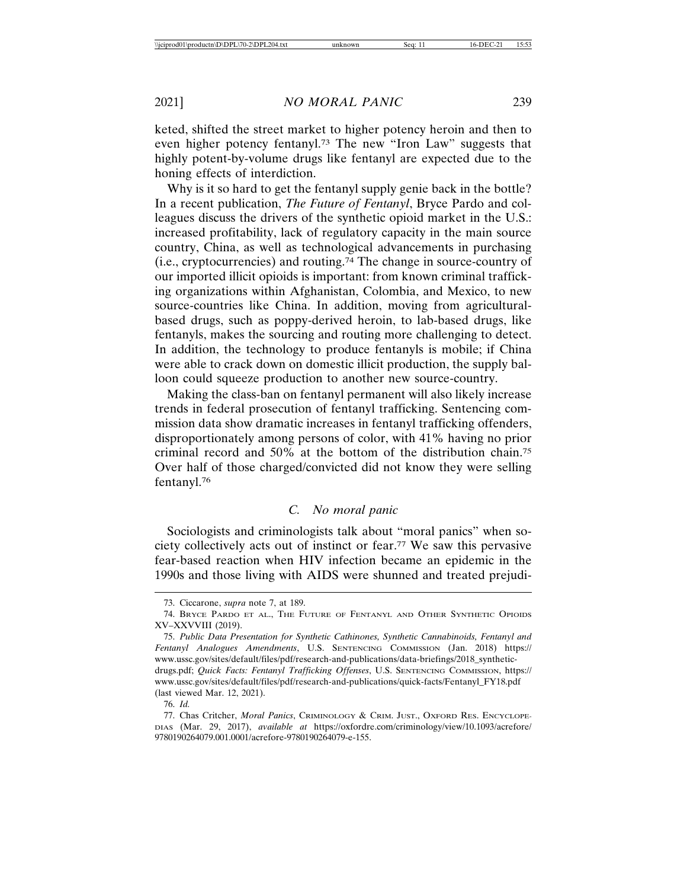keted, shifted the street market to higher potency heroin and then to even higher potency fentanyl.73 The new "Iron Law" suggests that highly potent-by-volume drugs like fentanyl are expected due to the honing effects of interdiction.

Why is it so hard to get the fentanyl supply genie back in the bottle? In a recent publication, *The Future of Fentanyl*, Bryce Pardo and colleagues discuss the drivers of the synthetic opioid market in the U.S.: increased profitability, lack of regulatory capacity in the main source country, China, as well as technological advancements in purchasing (i.e., cryptocurrencies) and routing.74 The change in source-country of our imported illicit opioids is important: from known criminal trafficking organizations within Afghanistan, Colombia, and Mexico, to new source-countries like China. In addition, moving from agriculturalbased drugs, such as poppy-derived heroin, to lab-based drugs, like fentanyls, makes the sourcing and routing more challenging to detect. In addition, the technology to produce fentanyls is mobile; if China were able to crack down on domestic illicit production, the supply balloon could squeeze production to another new source-country.

Making the class-ban on fentanyl permanent will also likely increase trends in federal prosecution of fentanyl trafficking. Sentencing commission data show dramatic increases in fentanyl trafficking offenders, disproportionately among persons of color, with 41% having no prior criminal record and 50% at the bottom of the distribution chain.75 Over half of those charged/convicted did not know they were selling fentanyl.76

## *C. No moral panic*

Sociologists and criminologists talk about "moral panics" when society collectively acts out of instinct or fear.77 We saw this pervasive fear-based reaction when HIV infection became an epidemic in the 1990s and those living with AIDS were shunned and treated prejudi-

<sup>73.</sup> Ciccarone, *supra* note 7, at 189.

<sup>74.</sup> BRYCE PARDO ET AL., THE FUTURE OF FENTANYL AND OTHER SYNTHETIC OPIOIDS XV–XXVVIII (2019).

<sup>75.</sup> *Public Data Presentation for Synthetic Cathinones, Synthetic Cannabinoids, Fentanyl and Fentanyl Analogues Amendments*, U.S. SENTENCING COMMISSION (Jan. 2018) https:// www.ussc.gov/sites/default/files/pdf/research-and-publications/data-briefings/2018\_syntheticdrugs.pdf; *Quick Facts: Fentanyl Trafficking Offenses*, U.S. SENTENCING COMMISSION, https:// www.ussc.gov/sites/default/files/pdf/research-and-publications/quick-facts/Fentanyl\_FY18.pdf (last viewed Mar. 12, 2021).

<sup>76.</sup> *Id.*

<sup>77.</sup> Chas Critcher, *Moral Panics*, CRIMINOLOGY & CRIM. JUST., OXFORD RES. ENCYCLOPE-DIAS (Mar. 29, 2017), *available at* https://oxfordre.com/criminology/view/10.1093/acrefore/ 9780190264079.001.0001/acrefore-9780190264079-e-155.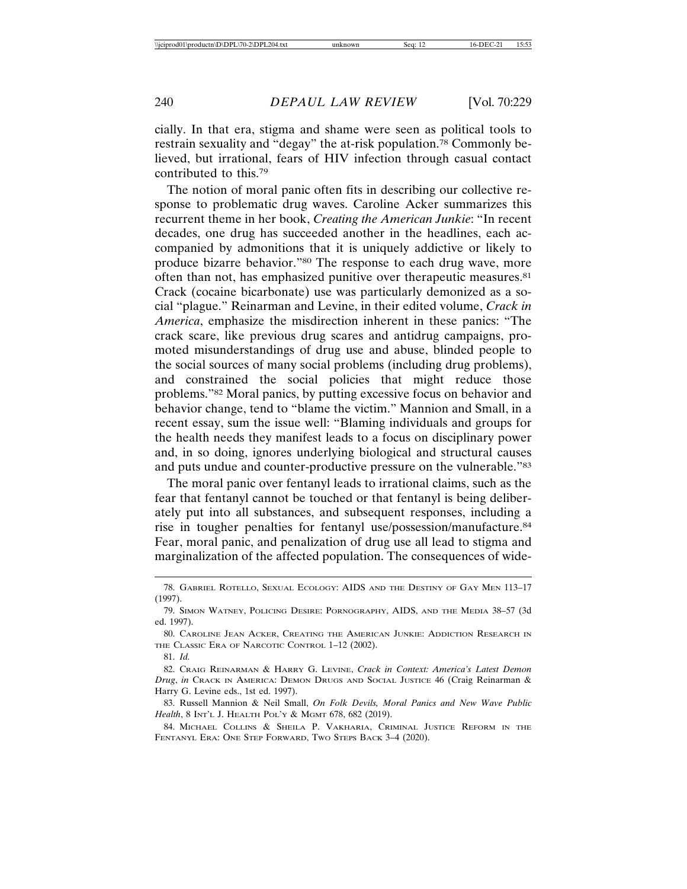cially. In that era, stigma and shame were seen as political tools to restrain sexuality and "degay" the at-risk population.78 Commonly believed, but irrational, fears of HIV infection through casual contact contributed to this.79

The notion of moral panic often fits in describing our collective response to problematic drug waves. Caroline Acker summarizes this recurrent theme in her book, *Creating the American Junkie*: "In recent decades, one drug has succeeded another in the headlines, each accompanied by admonitions that it is uniquely addictive or likely to produce bizarre behavior."80 The response to each drug wave, more often than not, has emphasized punitive over therapeutic measures.81 Crack (cocaine bicarbonate) use was particularly demonized as a social "plague." Reinarman and Levine, in their edited volume, *Crack in America*, emphasize the misdirection inherent in these panics: "The crack scare, like previous drug scares and antidrug campaigns, promoted misunderstandings of drug use and abuse, blinded people to the social sources of many social problems (including drug problems), and constrained the social policies that might reduce those problems."82 Moral panics, by putting excessive focus on behavior and behavior change, tend to "blame the victim." Mannion and Small, in a recent essay, sum the issue well: "Blaming individuals and groups for the health needs they manifest leads to a focus on disciplinary power and, in so doing, ignores underlying biological and structural causes and puts undue and counter-productive pressure on the vulnerable."83

The moral panic over fentanyl leads to irrational claims, such as the fear that fentanyl cannot be touched or that fentanyl is being deliberately put into all substances, and subsequent responses, including a rise in tougher penalties for fentanyl use/possession/manufacture.84 Fear, moral panic, and penalization of drug use all lead to stigma and marginalization of the affected population. The consequences of wide-

81. *Id.*

<sup>78.</sup> GABRIEL ROTELLO, SEXUAL ECOLOGY: AIDS AND THE DESTINY OF GAY MEN 113–17 (1997).

<sup>79.</sup> SIMON WATNEY, POLICING DESIRE: PORNOGRAPHY, AIDS, AND THE MEDIA 38–57 (3d ed. 1997).

<sup>80.</sup> CAROLINE JEAN ACKER, CREATING THE AMERICAN JUNKIE: ADDICTION RESEARCH IN THE CLASSIC ERA OF NARCOTIC CONTROL 1–12 (2002).

<sup>82.</sup> CRAIG REINARMAN & HARRY G. LEVINE, *Crack in Context: America's Latest Demon Drug*, *in* CRACK IN AMERICA: DEMON DRUGS AND SOCIAL JUSTICE 46 (Craig Reinarman & Harry G. Levine eds., 1st ed. 1997).

<sup>83.</sup> Russell Mannion & Neil Small, *On Folk Devils, Moral Panics and New Wave Public Health*, 8 INT'L J. HEALTH POL'Y & MGMT 678, 682 (2019).

<sup>84.</sup> MICHAEL COLLINS & SHEILA P. VAKHARIA, CRIMINAL JUSTICE REFORM IN THE FENTANYL ERA: ONE STEP FORWARD, TWO STEPS BACK 3–4 (2020).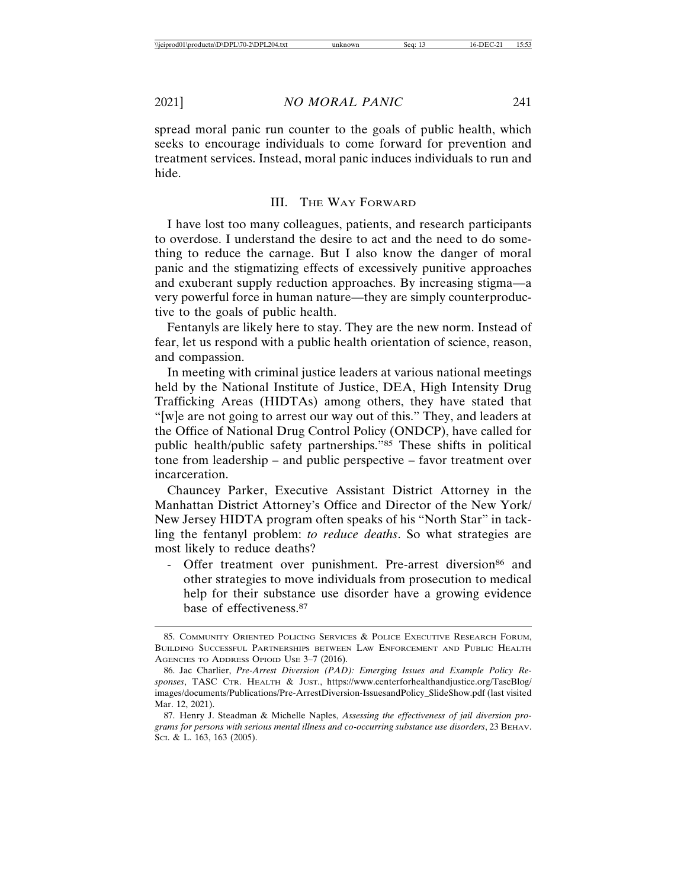spread moral panic run counter to the goals of public health, which seeks to encourage individuals to come forward for prevention and treatment services. Instead, moral panic induces individuals to run and hide.

#### III. THE WAY FORWARD

I have lost too many colleagues, patients, and research participants to overdose. I understand the desire to act and the need to do something to reduce the carnage. But I also know the danger of moral panic and the stigmatizing effects of excessively punitive approaches and exuberant supply reduction approaches. By increasing stigma—a very powerful force in human nature—they are simply counterproductive to the goals of public health.

Fentanyls are likely here to stay. They are the new norm. Instead of fear, let us respond with a public health orientation of science, reason, and compassion.

In meeting with criminal justice leaders at various national meetings held by the National Institute of Justice, DEA, High Intensity Drug Trafficking Areas (HIDTAs) among others, they have stated that "[w]e are not going to arrest our way out of this." They, and leaders at the Office of National Drug Control Policy (ONDCP), have called for public health/public safety partnerships."85 These shifts in political tone from leadership – and public perspective – favor treatment over incarceration.

Chauncey Parker, Executive Assistant District Attorney in the Manhattan District Attorney's Office and Director of the New York/ New Jersey HIDTA program often speaks of his "North Star" in tackling the fentanyl problem: *to reduce deaths*. So what strategies are most likely to reduce deaths?

- Offer treatment over punishment. Pre-arrest diversion<sup>86</sup> and other strategies to move individuals from prosecution to medical help for their substance use disorder have a growing evidence base of effectiveness.87

<sup>85.</sup> COMMUNITY ORIENTED POLICING SERVICES & POLICE EXECUTIVE RESEARCH FORUM, BUILDING SUCCESSFUL PARTNERSHIPS BETWEEN LAW ENFORCEMENT AND PUBLIC HEALTH AGENCIES TO ADDRESS OPIOID USE 3–7 (2016).

<sup>86.</sup> Jac Charlier, *Pre-Arrest Diversion (PAD): Emerging Issues and Example Policy Responses*, TASC CTR. HEALTH & JUST., https://www.centerforhealthandjustice.org/TascBlog/ images/documents/Publications/Pre-ArrestDiversion-IssuesandPolicy\_SlideShow.pdf (last visited Mar. 12, 2021).

<sup>87.</sup> Henry J. Steadman & Michelle Naples, *Assessing the effectiveness of jail diversion programs for persons with serious mental illness and co-occurring substance use disorders*, 23 BEHAV. SCI. & L. 163, 163 (2005).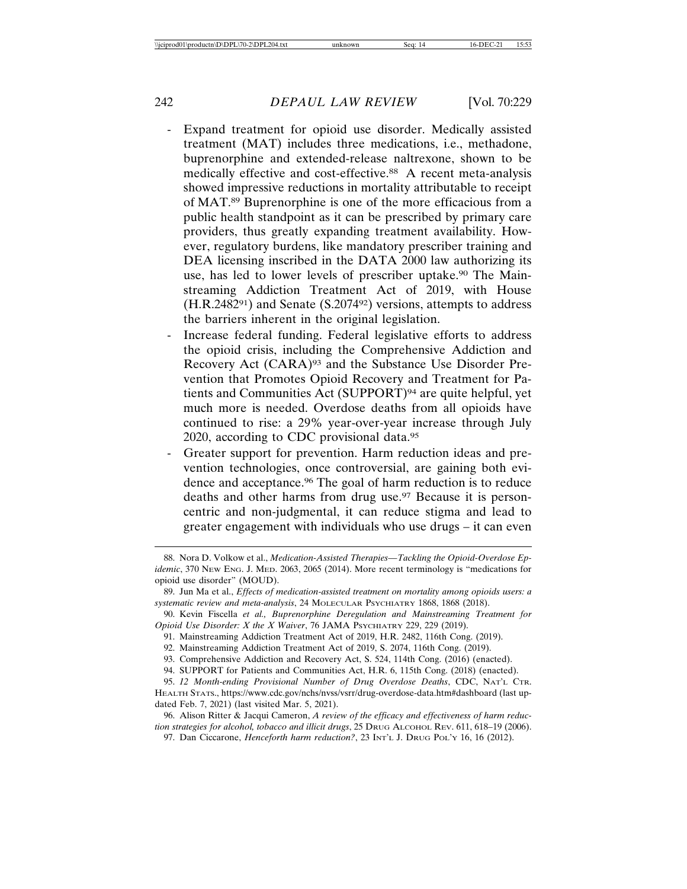- Expand treatment for opioid use disorder. Medically assisted treatment (MAT) includes three medications, i.e., methadone, buprenorphine and extended-release naltrexone, shown to be medically effective and cost-effective.<sup>88</sup> A recent meta-analysis showed impressive reductions in mortality attributable to receipt of MAT.89 Buprenorphine is one of the more efficacious from a public health standpoint as it can be prescribed by primary care providers, thus greatly expanding treatment availability. However, regulatory burdens, like mandatory prescriber training and DEA licensing inscribed in the DATA 2000 law authorizing its use, has led to lower levels of prescriber uptake.<sup>90</sup> The Mainstreaming Addiction Treatment Act of 2019, with House  $(H.R.248291)$  and Senate  $(S.207492)$  versions, attempts to address the barriers inherent in the original legislation.
- Increase federal funding. Federal legislative efforts to address the opioid crisis, including the Comprehensive Addiction and Recovery Act (CARA)93 and the Substance Use Disorder Prevention that Promotes Opioid Recovery and Treatment for Patients and Communities Act (SUPPORT)94 are quite helpful, yet much more is needed. Overdose deaths from all opioids have continued to rise: a 29% year-over-year increase through July 2020, according to CDC provisional data.95
- Greater support for prevention. Harm reduction ideas and prevention technologies, once controversial, are gaining both evidence and acceptance.<sup>96</sup> The goal of harm reduction is to reduce deaths and other harms from drug use.<sup>97</sup> Because it is personcentric and non-judgmental, it can reduce stigma and lead to greater engagement with individuals who use drugs – it can even

<sup>88.</sup> Nora D. Volkow et al., *Medication-Assisted Therapies—Tackling the Opioid-Overdose Epidemic*, 370 NEW ENG. J. MED. 2063, 2065 (2014). More recent terminology is "medications for opioid use disorder" (MOUD).

<sup>89.</sup> Jun Ma et al., *Effects of medication-assisted treatment on mortality among opioids users: a systematic review and meta-analysis*, 24 MOLECULAR PSYCHIATRY 1868, 1868 (2018).

<sup>90.</sup> Kevin Fiscella *et al., Buprenorphine Deregulation and Mainstreaming Treatment for Opioid Use Disorder: X the X Waiver*, 76 JAMA PSYCHIATRY 229, 229 (2019).

<sup>91.</sup> Mainstreaming Addiction Treatment Act of 2019, H.R. 2482, 116th Cong. (2019).

<sup>92.</sup> Mainstreaming Addiction Treatment Act of 2019, S. 2074, 116th Cong. (2019).

<sup>93.</sup> Comprehensive Addiction and Recovery Act, S. 524, 114th Cong. (2016) (enacted).

<sup>94.</sup> SUPPORT for Patients and Communities Act, H.R. 6, 115th Cong. (2018) (enacted).

<sup>95.</sup> *12 Month-ending Provisional Number of Drug Overdose Deaths*, CDC, NAT'L CTR. HEALTH STATS., https://www.cdc.gov/nchs/nvss/vsrr/drug-overdose-data.htm#dashboard (last updated Feb. 7, 2021) (last visited Mar. 5, 2021).

<sup>96.</sup> Alison Ritter & Jacqui Cameron, *A review of the efficacy and effectiveness of harm reduction strategies for alcohol, tobacco and illicit drugs*, 25 DRUG ALCOHOL REV. 611, 618–19 (2006).

<sup>97.</sup> Dan Ciccarone, *Henceforth harm reduction?*, 23 INT'L J. DRUG POL'Y 16, 16 (2012).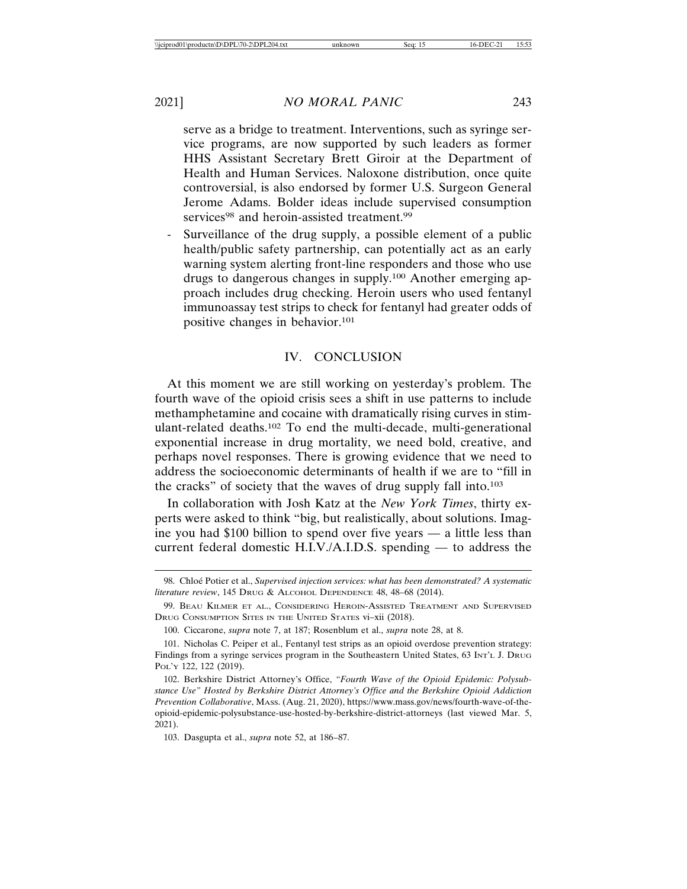serve as a bridge to treatment. Interventions, such as syringe service programs, are now supported by such leaders as former HHS Assistant Secretary Brett Giroir at the Department of Health and Human Services. Naloxone distribution, once quite controversial, is also endorsed by former U.S. Surgeon General Jerome Adams. Bolder ideas include supervised consumption services<sup>98</sup> and heroin-assisted treatment.<sup>99</sup>

Surveillance of the drug supply, a possible element of a public health/public safety partnership, can potentially act as an early warning system alerting front-line responders and those who use drugs to dangerous changes in supply.100 Another emerging approach includes drug checking. Heroin users who used fentanyl immunoassay test strips to check for fentanyl had greater odds of positive changes in behavior.101

#### IV. CONCLUSION

At this moment we are still working on yesterday's problem. The fourth wave of the opioid crisis sees a shift in use patterns to include methamphetamine and cocaine with dramatically rising curves in stimulant-related deaths.102 To end the multi-decade, multi-generational exponential increase in drug mortality, we need bold, creative, and perhaps novel responses. There is growing evidence that we need to address the socioeconomic determinants of health if we are to "fill in the cracks" of society that the waves of drug supply fall into.103

In collaboration with Josh Katz at the *New York Times*, thirty experts were asked to think "big, but realistically, about solutions. Imagine you had \$100 billion to spend over five years — a little less than current federal domestic H.I.V./A.I.D.S. spending — to address the

<sup>98.</sup> Chloé Potier et al., *Supervised injection services: what has been demonstrated? A systematic literature review*, 145 DRUG & ALCOHOL DEPENDENCE 48, 48–68 (2014).

<sup>99.</sup> BEAU KILMER ET AL., CONSIDERING HEROIN-ASSISTED TREATMENT AND SUPERVISED DRUG CONSUMPTION SITES IN THE UNITED STATES vi–xii (2018).

<sup>100.</sup> Ciccarone, *supra* note 7, at 187; Rosenblum et al., *supra* note 28, at 8.

<sup>101.</sup> Nicholas C. Peiper et al., Fentanyl test strips as an opioid overdose prevention strategy: Findings from a syringe services program in the Southeastern United States, 63 INT'L J. DRUG POL'Y 122, 122 (2019).

<sup>102.</sup> Berkshire District Attorney's Office, *"Fourth Wave of the Opioid Epidemic: Polysubstance Use" Hosted by Berkshire District Attorney's Office and the Berkshire Opioid Addiction Prevention Collaborative*, MASS. (Aug. 21, 2020), https://www.mass.gov/news/fourth-wave-of-theopioid-epidemic-polysubstance-use-hosted-by-berkshire-district-attorneys (last viewed Mar. 5, 2021).

<sup>103.</sup> Dasgupta et al., *supra* note 52, at 186–87.